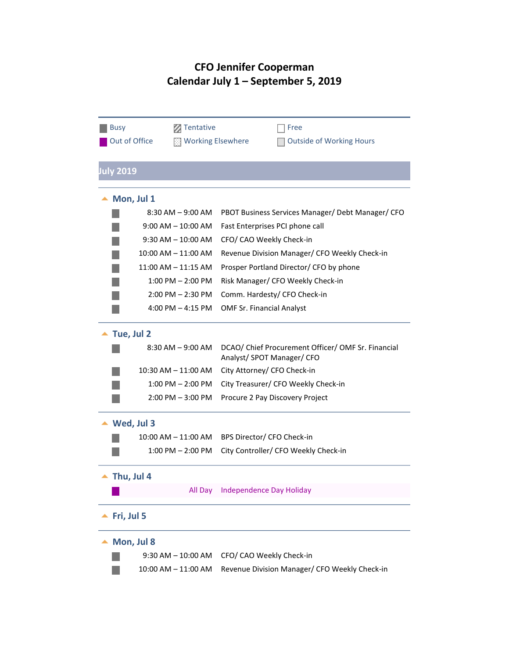# **CFO Jennifer Cooperman Calendar July 1 – September 5, 2019**

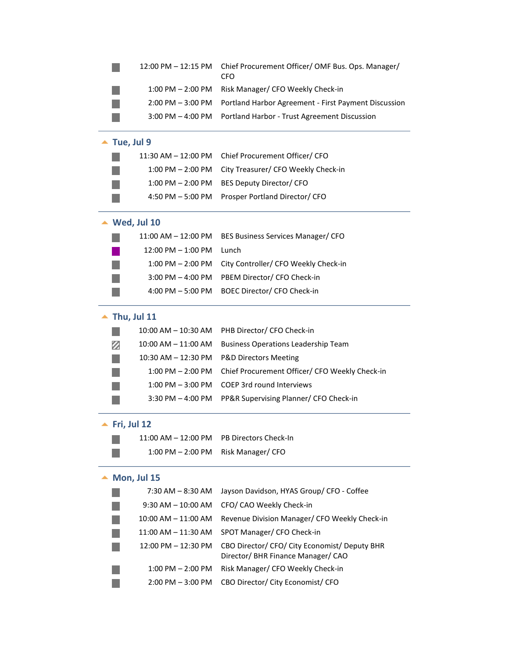|                             | 12:00 PM - 12:15 PM          | Chief Procurement Officer/ OMF Bus. Ops. Manager/<br>CFO                            |
|-----------------------------|------------------------------|-------------------------------------------------------------------------------------|
|                             | $1:00$ PM $- 2:00$ PM        | Risk Manager/ CFO Weekly Check-in                                                   |
|                             | $2:00$ PM $-3:00$ PM         | Portland Harbor Agreement - First Payment Discussion                                |
|                             | $3:00$ PM $-$ 4:00 PM        | Portland Harbor - Trust Agreement Discussion                                        |
| $\blacktriangle$ Tue, Jul 9 |                              |                                                                                     |
|                             | 11:30 AM – 12:00 PM          | Chief Procurement Officer/ CFO                                                      |
|                             | $1:00$ PM $- 2:00$ PM        | City Treasurer/ CFO Weekly Check-in                                                 |
|                             | $1:00$ PM $- 2:00$ PM        | BES Deputy Director/ CFO                                                            |
|                             | $4:50$ PM $-5:00$ PM         | Prosper Portland Director/ CFO                                                      |
|                             | $\blacktriangle$ Wed, Jul 10 |                                                                                     |
|                             | 11:00 AM – 12:00 PM          | BES Business Services Manager/ CFO                                                  |
|                             | $12:00$ PM $- 1:00$ PM       | Lunch                                                                               |
|                             | $1:00$ PM $- 2:00$ PM        | City Controller/ CFO Weekly Check-in                                                |
|                             | $3:00$ PM $-$ 4:00 PM        | PBEM Director/ CFO Check-in                                                         |
|                             | $4:00$ PM $-5:00$ PM         | BOEC Director/ CFO Check-in                                                         |
|                             | Thu, Jul 11                  |                                                                                     |
|                             | $10:00$ AM $- 10:30$ AM      | PHB Director/ CFO Check-in                                                          |
| z                           | $10:00$ AM $- 11:00$ AM      | <b>Business Operations Leadership Team</b>                                          |
|                             | 10:30 AM - 12:30 PM          | <b>P&amp;D Directors Meeting</b>                                                    |
|                             | $1:00$ PM $- 2:00$ PM        | Chief Procurement Officer/ CFO Weekly Check-in                                      |
|                             | $1:00$ PM $-3:00$ PM         | <b>COEP 3rd round Interviews</b>                                                    |
|                             | $3:30$ PM $-$ 4:00 PM        | PP&R Supervising Planner/ CFO Check-in                                              |
|                             | Fri, Jul 12                  |                                                                                     |
|                             | 11:00 AM – 12:00 PM          | PB Directors Check-In                                                               |
|                             | $1:00$ PM $- 2:00$ PM        | Risk Manager/ CFO                                                                   |
|                             | $\blacktriangle$ Mon, Jul 15 |                                                                                     |
|                             | 7:30 AM - 8:30 AM            | Jayson Davidson, HYAS Group/ CFO - Coffee                                           |
|                             | $9:30$ AM $- 10:00$ AM       | CFO/ CAO Weekly Check-in                                                            |
|                             | 10:00 AM - 11:00 AM          | Revenue Division Manager/ CFO Weekly Check-in                                       |
|                             | 11:00 AM - 11:30 AM          | SPOT Manager/ CFO Check-in                                                          |
|                             | 12:00 PM - 12:30 PM          | CBO Director/ CFO/ City Economist/ Deputy BHR<br>Director/ BHR Finance Manager/ CAO |
|                             | 1:00 PM - 2:00 PM            | Risk Manager/ CFO Weekly Check-in                                                   |
|                             | $2:00$ PM $-3:00$ PM         | CBO Director/ City Economist/ CFO                                                   |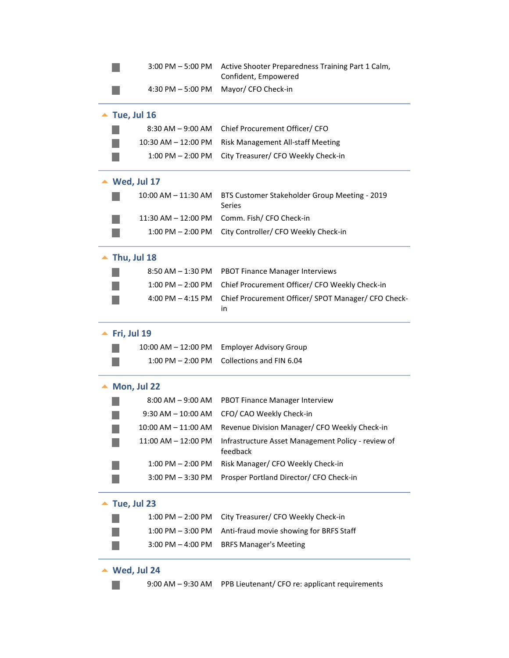|                              | $3:00$ PM $-5:00$ PM         | Active Shooter Preparedness Training Part 1 Calm,<br>Confident, Empowered |
|------------------------------|------------------------------|---------------------------------------------------------------------------|
|                              | $4:30$ PM $-5:00$ PM         | Mayor/ CFO Check-in                                                       |
|                              | $\blacktriangle$ Tue, Jul 16 |                                                                           |
|                              | $8:30$ AM $-9:00$ AM         | Chief Procurement Officer/ CFO                                            |
|                              | 10:30 AM - 12:00 PM          | Risk Management All-staff Meeting                                         |
|                              | $1:00$ PM $- 2:00$ PM        | City Treasurer/ CFO Weekly Check-in                                       |
|                              | $\blacktriangle$ Wed, Jul 17 |                                                                           |
|                              | 10:00 AM – 11:30 AM          | BTS Customer Stakeholder Group Meeting - 2019<br>Series                   |
|                              | 11:30 AM - 12:00 PM          | Comm. Fish/ CFO Check-in                                                  |
|                              | $1:00$ PM $- 2:00$ PM        | City Controller/ CFO Weekly Check-in                                      |
|                              | $\blacktriangle$ Thu, Jul 18 |                                                                           |
|                              | $8:50$ AM $- 1:30$ PM        | <b>PBOT Finance Manager Interviews</b>                                    |
|                              | $1:00$ PM $- 2:00$ PM        | Chief Procurement Officer/ CFO Weekly Check-in                            |
|                              | 4:00 PM $-$ 4:15 PM          | Chief Procurement Officer/ SPOT Manager/ CFO Check-<br>in                 |
| $\blacktriangle$ Fri, Jul 19 |                              |                                                                           |
|                              | 10:00 AM - 12:00 PM          | <b>Employer Advisory Group</b>                                            |
|                              | $1:00$ PM $- 2:00$ PM        | Collections and FIN 6.04                                                  |
|                              | $\blacktriangle$ Mon, Jul 22 |                                                                           |
|                              | $8:00$ AM $-9:00$ AM         | <b>PBOT Finance Manager Interview</b>                                     |
|                              | $9:30$ AM $-10:00$ AM        | CFO/ CAO Weekly Check-in                                                  |
|                              | 10:00 AM – 11:00 AM          | Revenue Division Manager/ CFO Weekly Check-in                             |
|                              | 11:00 AM - 12:00 PM          | Infrastructure Asset Management Policy - review of<br>feedback            |
|                              | $1:00$ PM $- 2:00$ PM        | Risk Manager/ CFO Weekly Check-in                                         |
|                              | $3:00$ PM $-3:30$ PM         | Prosper Portland Director/ CFO Check-in                                   |
|                              | $\blacktriangle$ Tue, Jul 23 |                                                                           |
|                              | $1:00$ PM $- 2:00$ PM        | City Treasurer/ CFO Weekly Check-in                                       |
|                              | $1:00$ PM $-3:00$ PM         | Anti-fraud movie showing for BRFS Staff                                   |
|                              | $3:00$ PM $-$ 4:00 PM        | <b>BRFS Manager's Meeting</b>                                             |
|                              | Wed, Jul 24                  |                                                                           |
|                              | $9:00$ AM $-9:30$ AM         | PPB Lieutenant/ CFO re: applicant requirements                            |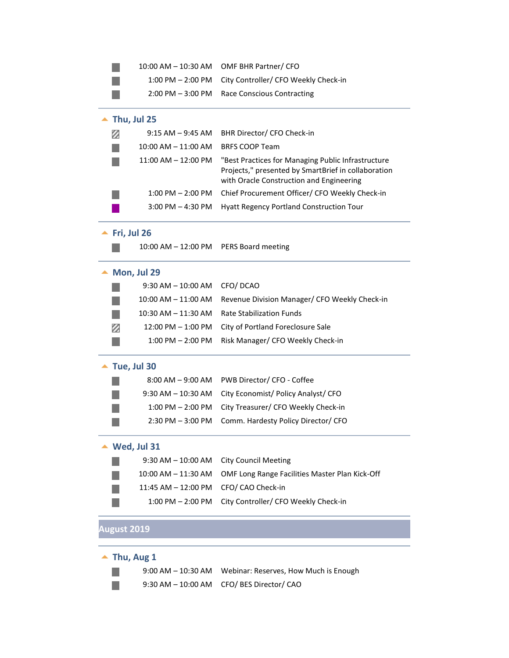|  | $10:00$ AM $- 10:30$ AM OMF BHR Partner/ CFO           |
|--|--------------------------------------------------------|
|  | 1:00 PM - 2:00 PM City Controller/ CFO Weekly Check-in |
|  | 2:00 PM - 3:00 PM Race Conscious Contracting           |

### ▲ Thu, Jul 25

|                         | 9:15 AM - 9:45 AM BHR Director/ CFO Check-in                                                                                                          |
|-------------------------|-------------------------------------------------------------------------------------------------------------------------------------------------------|
| $10:00$ AM $- 11:00$ AM | <b>BRFS COOP Team</b>                                                                                                                                 |
| $11:00$ AM $-12:00$ PM  | "Best Practices for Managing Public Infrastructure<br>Projects," presented by SmartBrief in collaboration<br>with Oracle Construction and Engineering |
| $1:00$ PM $- 2:00$ PM   | Chief Procurement Officer/ CFO Weekly Check-in                                                                                                        |
| $3:00$ PM $-$ 4:30 PM   | <b>Hyatt Regency Portland Construction Tour</b>                                                                                                       |

### **<u>▲ Fri, Jul 26</u>**

r.

10:00 AM – 12:00 PM PERS Board meeting

#### ▲ Mon, Jul 29

|   | 9:30 AM - 10:00 AM CFO/ DCAO |                                                                     |
|---|------------------------------|---------------------------------------------------------------------|
|   |                              | 10:00 AM – 11:00 AM – Revenue Division Manager/ CFO Weekly Check-in |
|   |                              | 10:30 AM - 11:30 AM Rate Stabilization Funds                        |
| Ø |                              | 12:00 PM - 1:00 PM City of Portland Foreclosure Sale                |
|   |                              | 1:00 PM - 2:00 PM Risk Manager/ CFO Weekly Check-in                 |

### ▲ Tue, Jul 30

|  | 8:00 AM - 9:00 AM PWB Director/ CFO - Coffee           |
|--|--------------------------------------------------------|
|  | 9:30 AM - 10:30 AM City Economist/ Policy Analyst/ CFO |
|  | 1:00 PM - 2:00 PM City Treasurer/ CFO Weekly Check-in  |
|  | 2:30 PM - 3:00 PM Comm. Hardesty Policy Director/ CFO  |

### **Wed, Jul 31**

|    |                                       | 9:30 AM - 10:00 AM City Council Meeting                            |
|----|---------------------------------------|--------------------------------------------------------------------|
| n. |                                       | 10:00 AM - 11:30 AM OMF Long Range Facilities Master Plan Kick-Off |
| m. | 11:45 AM - 12:00 PM CFO/ CAO Check-in |                                                                    |
|    |                                       | 1:00 PM – 2:00 PM City Controller/ CFO Weekly Check-in             |

# **August 2019**

### ▲ Thu, Aug 1

П  $\mathcal{C}_{\mathcal{A}}$  9:00 AM – 10:30 AM Webinar: Reserves, How Much is Enough 9:30 AM – 10:00 AM CFO/ BES Director/ CAO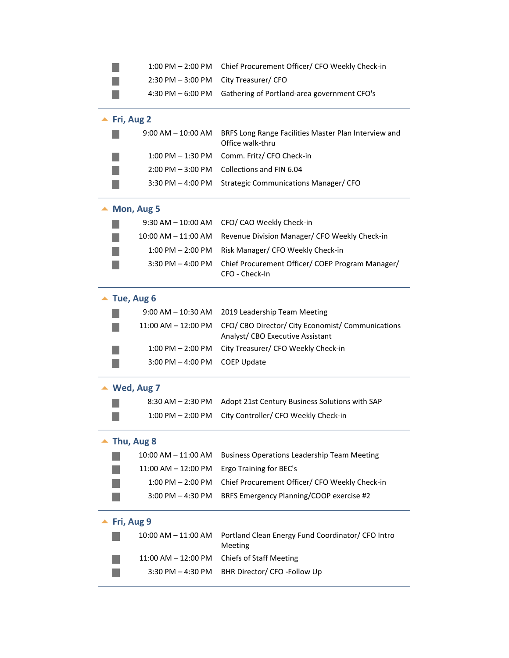| $1:00$ PM $- 2:00$ PM       | Chief Procurement Officer/ CFO Weekly Check-in                                        |
|-----------------------------|---------------------------------------------------------------------------------------|
| $2:30$ PM $-3:00$ PM        | City Treasurer/ CFO                                                                   |
| $4:30$ PM $-6:00$ PM        | Gathering of Portland-area government CFO's                                           |
| $\blacktriangle$ Fri, Aug 2 |                                                                                       |
| $9:00$ AM $-$ 10:00 AM      | BRFS Long Range Facilities Master Plan Interview and<br>Office walk-thru              |
| 1:00 PM - 1:30 PM           | Comm. Fritz/ CFO Check-in                                                             |
| $2:00$ PM $-3:00$ PM        | Collections and FIN 6.04                                                              |
| $3:30$ PM $-$ 4:00 PM       | Strategic Communications Manager/ CFO                                                 |
| Mon, Aug 5                  |                                                                                       |
| $9:30$ AM $- 10:00$ AM      | CFO/ CAO Weekly Check-in                                                              |
| $10:00$ AM $- 11:00$ AM     | Revenue Division Manager/ CFO Weekly Check-in                                         |
| 1:00 PM - 2:00 PM           | Risk Manager/ CFO Weekly Check-in                                                     |
| $3:30$ PM $-$ 4:00 PM       | Chief Procurement Officer/ COEP Program Manager/<br>CFO - Check-In                    |
| $\blacktriangle$ Tue, Aug 6 |                                                                                       |
| $9:00$ AM $- 10:30$ AM      | 2019 Leadership Team Meeting                                                          |
| 11:00 AM - 12:00 PM         | CFO/ CBO Director/ City Economist/ Communications<br>Analyst/ CBO Executive Assistant |
| 1:00 PM – 2:00 PM           | City Treasurer/ CFO Weekly Check-in                                                   |
| $3:00$ PM $-$ 4:00 PM       | <b>COEP Update</b>                                                                    |
| $\blacktriangle$ Wed, Aug 7 |                                                                                       |
| $8:30$ AM $- 2:30$ PM       | Adopt 21st Century Business Solutions with SAP                                        |
| $1:00$ PM $- 2:00$ PM       | City Controller/ CFO Weekly Check-in                                                  |
| Thu, Aug 8                  |                                                                                       |
| 10:00 AM - 11:00 AM         | <b>Business Operations Leadership Team Meeting</b>                                    |
| 11:00 AM - 12:00 PM         | Ergo Training for BEC's                                                               |
| $1:00$ PM $- 2:00$ PM       | Chief Procurement Officer/ CFO Weekly Check-in                                        |
| $3:00$ PM $-$ 4:30 PM       | BRFS Emergency Planning/COOP exercise #2                                              |
| Fri, Aug 9                  |                                                                                       |
| 10:00 AM - 11:00 AM         | Portland Clean Energy Fund Coordinator/ CFO Intro<br>Meeting                          |
| 11:00 AM - 12:00 PM         | <b>Chiefs of Staff Meeting</b>                                                        |
| $3:30$ PM $-$ 4:30 PM       | BHR Director/ CFO -Follow Up                                                          |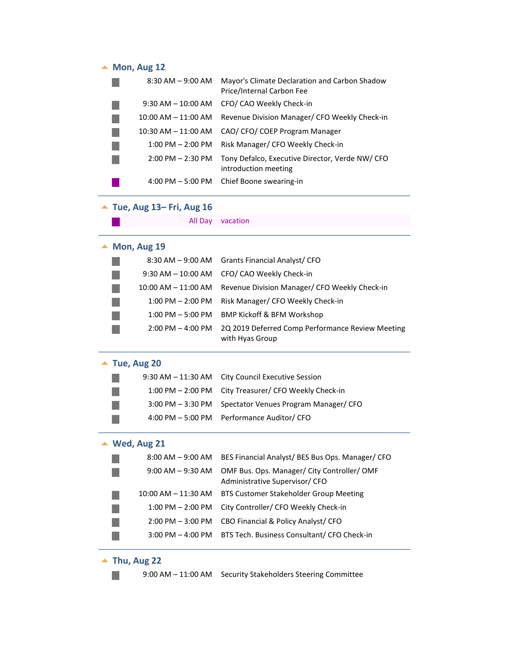# ▲ Mon, Aug 12

| $8:30$ AM $-9:00$ AM    | Mayor's Climate Declaration and Carbon Shadow<br>Price/Internal Carbon Fee |
|-------------------------|----------------------------------------------------------------------------|
| $9:30$ AM $-10:00$ AM   | CFO/ CAO Weekly Check-in                                                   |
| $10:00$ AM $- 11:00$ AM | Revenue Division Manager/ CFO Weekly Check-in                              |
| $10:30$ AM $- 11:00$ AM | CAO/ CFO/ COEP Program Manager                                             |
| $1:00$ PM $- 2:00$ PM   | Risk Manager/ CFO Weekly Check-in                                          |
| $2:00$ PM $- 2:30$ PM   | Tony Defalco, Executive Director, Verde NW/CFO<br>introduction meeting     |
| $4:00$ PM $-5:00$ PM    | Chief Boone swearing-in                                                    |

# **Tue, Aug 13– Fri, Aug 16**

|             | All Day                 | vacation                                                                      |
|-------------|-------------------------|-------------------------------------------------------------------------------|
| Mon, Aug 19 |                         |                                                                               |
|             | $8:30$ AM $-9:00$ AM    | Grants Financial Analyst/ CFO                                                 |
|             | $9:30$ AM $-10:00$ AM   | CFO/ CAO Weekly Check-in                                                      |
|             | $10:00$ AM $- 11:00$ AM | Revenue Division Manager/ CFO Weekly Check-in                                 |
|             | $1:00$ PM $- 2:00$ PM   | Risk Manager/ CFO Weekly Check-in                                             |
|             | $1:00$ PM $-5:00$ PM    | <b>BMP Kickoff &amp; BFM Workshop</b>                                         |
|             | $2:00$ PM $-$ 4:00 PM   | 2Q 2019 Deferred Comp Performance Review Meeting<br>with Hyas Group           |
|             | Tue, Aug 20             |                                                                               |
|             | $9:30$ AM $-11:30$ AM   | <b>City Council Executive Session</b>                                         |
|             | $1:00$ PM $- 2:00$ PM   | City Treasurer/ CFO Weekly Check-in                                           |
|             | $3:00$ PM $-3:30$ PM    | Spectator Venues Program Manager/ CFO                                         |
|             | 4:00 PM $-$ 5:00 PM     | Performance Auditor/ CFO                                                      |
| Wed, Aug 21 |                         |                                                                               |
|             | $8:00$ AM $-9:00$ AM    | BES Financial Analyst/ BES Bus Ops. Manager/ CFO                              |
|             | $9:00$ AM $-9:30$ AM    | OMF Bus. Ops. Manager/ City Controller/ OMF<br>Administrative Supervisor/ CFO |
|             | $10:00$ AM $- 11:30$ AM | <b>BTS Customer Stakeholder Group Meeting</b>                                 |
|             | $1:00$ PM $- 2:00$ PM   | City Controller/ CFO Weekly Check-in                                          |
|             | $2:00$ PM $-3:00$ PM    | CBO Financial & Policy Analyst/ CFO                                           |
|             | $3:00$ PM $-$ 4:00 PM   | BTS Tech. Business Consultant/ CFO Check-in                                   |
|             |                         |                                                                               |

**Thu, Aug 22**

п

9:00 AM – 11:00 AM Security Stakeholders Steering Committee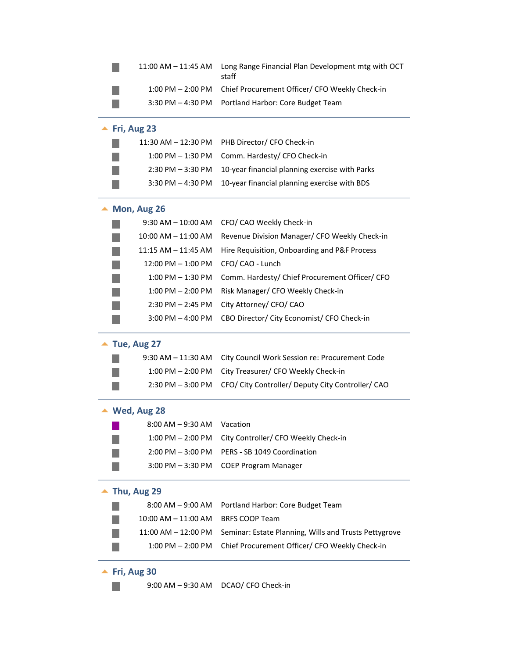|                              | $11:00$ AM $- 11:45$ AM       | Long Range Financial Plan Development mtg with OCT<br>staff |
|------------------------------|-------------------------------|-------------------------------------------------------------|
|                              | $1:00$ PM $- 2:00$ PM         | Chief Procurement Officer/ CFO Weekly Check-in              |
|                              | $3:30$ PM $-$ 4:30 PM         | Portland Harbor: Core Budget Team                           |
| $\blacktriangle$ Fri, Aug 23 |                               |                                                             |
|                              | 11:30 AM – 12:30 PM           | PHB Director/ CFO Check-in                                  |
|                              | $1:00$ PM $-1:30$ PM          | Comm. Hardesty/ CFO Check-in                                |
|                              | $2:30$ PM $-3:30$ PM          | 10-year financial planning exercise with Parks              |
|                              | $3:30$ PM $-$ 4:30 PM         | 10-year financial planning exercise with BDS                |
|                              | Mon, Aug 26                   |                                                             |
|                              | 9:30 AM – 10:00 AM            | CFO/ CAO Weekly Check-in                                    |
|                              | 10:00 AM - 11:00 AM           | Revenue Division Manager/ CFO Weekly Check-in               |
|                              | 11:15 AM - 11:45 AM           | Hire Requisition, Onboarding and P&F Process                |
|                              | 12:00 PM - 1:00 PM            | CFO/ CAO - Lunch                                            |
|                              | 1:00 PM - 1:30 PM             | Comm. Hardesty/ Chief Procurement Officer/ CFO              |
|                              | $1:00$ PM $- 2:00$ PM         | Risk Manager/ CFO Weekly Check-in                           |
|                              | $2:30$ PM $- 2:45$ PM         | City Attorney/ CFO/ CAO                                     |
|                              | $3:00$ PM $-$ 4:00 PM         | CBO Director/ City Economist/ CFO Check-in                  |
|                              | $\blacktriangle$ Tue, Aug 27  |                                                             |
|                              | $9:30$ AM $-11:30$ AM         | City Council Work Session re: Procurement Code              |
|                              | $1:00$ PM $- 2:00$ PM         | City Treasurer/ CFO Weekly Check-in                         |
|                              | $2:30$ PM $-3:00$ PM          | CFO/ City Controller/ Deputy City Controller/ CAO           |
|                              | $\blacktriangle$ Wed, Aug 28  |                                                             |
|                              | $8:00$ AM $-9:30$ AM Vacation |                                                             |
|                              | $1:00$ PM $- 2:00$ PM         | City Controller/ CFO Weekly Check-in                        |
|                              | $2:00$ PM $-3:00$ PM          | PERS - SB 1049 Coordination                                 |
|                              | $3:00$ PM $-3:30$ PM          | <b>COEP Program Manager</b>                                 |
|                              | $\blacktriangle$ Thu, Aug 29  |                                                             |
|                              | $8:00$ AM $-9:00$ AM          | Portland Harbor: Core Budget Team                           |
|                              | 10:00 AM - 11:00 AM           | <b>BRFS COOP Team</b>                                       |
|                              | 11:00 AM - 12:00 PM           | Seminar: Estate Planning, Wills and Trusts Pettygrove       |
|                              | $1:00$ PM $- 2:00$ PM         | Chief Procurement Officer/ CFO Weekly Check-in              |
| $\blacktriangle$ Fri, Aug 30 |                               |                                                             |

9:00 AM – 9:30 AM DCAO/ CFO Check-in